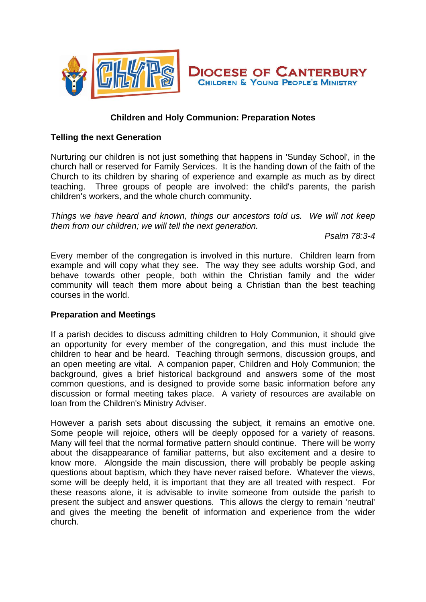



## **Children and Holy Communion: Preparation Notes**

## **Telling the next Generation**

Nurturing our children is not just something that happens in 'Sunday School', in the church hall or reserved for Family Services. It is the handing down of the faith of the Church to its children by sharing of experience and example as much as by direct teaching. Three groups of people are involved: the child's parents, the parish children's workers, and the whole church community.

*Things we have heard and known, things our ancestors told us. We will not keep them from our children; we will tell the next generation.* 

 *Psalm 78:3-4* 

Every member of the congregation is involved in this nurture. Children learn from example and will copy what they see. The way they see adults worship God, and behave towards other people, both within the Christian family and the wider community will teach them more about being a Christian than the best teaching courses in the world.

## **Preparation and Meetings**

If a parish decides to discuss admitting children to Holy Communion, it should give an opportunity for every member of the congregation, and this must include the children to hear and be heard. Teaching through sermons, discussion groups, and an open meeting are vital. A companion paper, Children and Holy Communion; the background, gives a brief historical background and answers some of the most common questions, and is designed to provide some basic information before any discussion or formal meeting takes place. A variety of resources are available on loan from the Children's Ministry Adviser.

However a parish sets about discussing the subject, it remains an emotive one. Some people will rejoice, others will be deeply opposed for a variety of reasons. Many will feel that the normal formative pattern should continue. There will be worry about the disappearance of familiar patterns, but also excitement and a desire to know more. Alongside the main discussion, there will probably be people asking questions about baptism, which they have never raised before. Whatever the views, some will be deeply held, it is important that they are all treated with respect. For these reasons alone, it is advisable to invite someone from outside the parish to present the subject and answer questions. This allows the clergy to remain 'neutral' and gives the meeting the benefit of information and experience from the wider church.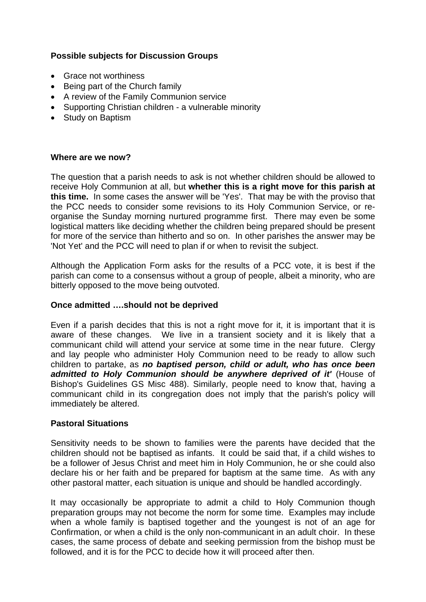## **Possible subjects for Discussion Groups**

- Grace not worthiness
- Being part of the Church family
- A review of the Family Communion service
- Supporting Christian children a vulnerable minority
- Study on Baptism

#### **Where are we now?**

The question that a parish needs to ask is not whether children should be allowed to receive Holy Communion at all, but **whether this is a right move for this parish at this time.** In some cases the answer will be 'Yes'. That may be with the proviso that the PCC needs to consider some revisions to its Holy Communion Service, or reorganise the Sunday morning nurtured programme first. There may even be some logistical matters like deciding whether the children being prepared should be present for more of the service than hitherto and so on. In other parishes the answer may be 'Not Yet' and the PCC will need to plan if or when to revisit the subject.

Although the Application Form asks for the results of a PCC vote, it is best if the parish can come to a consensus without a group of people, albeit a minority, who are bitterly opposed to the move being outvoted.

#### **Once admitted ….should not be deprived**

Even if a parish decides that this is not a right move for it, it is important that it is aware of these changes. We live in a transient society and it is likely that a communicant child will attend your service at some time in the near future. Clergy and lay people who administer Holy Communion need to be ready to allow such children to partake, as *no baptised person, child or adult, who has once been*  admitted to Holy Communion should be anywhere deprived of it' (House of Bishop's Guidelines GS Misc 488). Similarly, people need to know that, having a communicant child in its congregation does not imply that the parish's policy will immediately be altered.

## **Pastoral Situations**

Sensitivity needs to be shown to families were the parents have decided that the children should not be baptised as infants. It could be said that, if a child wishes to be a follower of Jesus Christ and meet him in Holy Communion, he or she could also declare his or her faith and be prepared for baptism at the same time. As with any other pastoral matter, each situation is unique and should be handled accordingly.

It may occasionally be appropriate to admit a child to Holy Communion though preparation groups may not become the norm for some time. Examples may include when a whole family is baptised together and the youngest is not of an age for Confirmation, or when a child is the only non-communicant in an adult choir. In these cases, the same process of debate and seeking permission from the bishop must be followed, and it is for the PCC to decide how it will proceed after then.